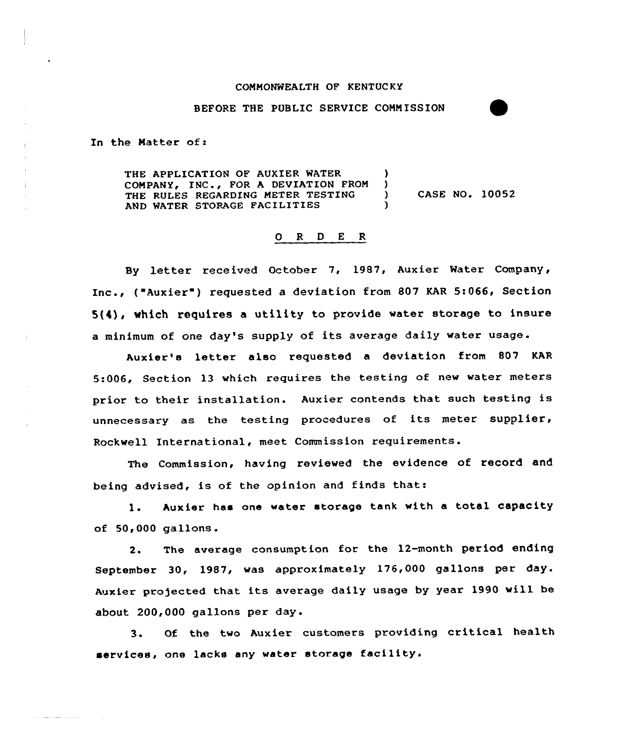## COMMONWEALTH OF KENTUCKY

## BEFORE THE PUBLIC SERVICE CONNISSION

In the Matter of:

الداء الرازي للتبقي كالفلف الرازي

THE APPLICATION OF AUXIER WATER (1) COMPANY, INC., FOR A DEVIATION FROM )<br>THE RULES REGARDING METER TESTING ) THE RULES REGARDING METER TESTING ) CASE NO. 10052 AND WATER STORAGE FACILITIES

## 0 R <sup>D</sup> E R

By letter received October 7, 1987, Auxier Water Company, Inc., ("Auxier") requested a deviation from 807 KAR 5:066, Section  $5(4)$ , which requires a utility to provide water storage to insure <sup>a</sup> minimum of one day's supply of its average daily water usage.

Auxier's letter also requested a deviation from 807 KAR 5:006, Section 13 which requires the testing of new water meters prior to their installation. Auxier contends that such testing is unnecessary as the testing procedures of its meter supplier, Rockwell International, meet Commission requirements.

The Commission, having reviewed the evidence of record and being advised, is of the opinion and finds that:

1. Auxier has one water storage tank with a total capacity of 50,000 gallons.

2. The average consumption for the 12-month period ending September 30, 1987, was approximately 176,000 gallons per day. Auxier projected that its average daily usage by year 1990 will be about 200,000 gallons per day.

3. Of the two Auxier customers providing critical health services, one lacks any water storage facility.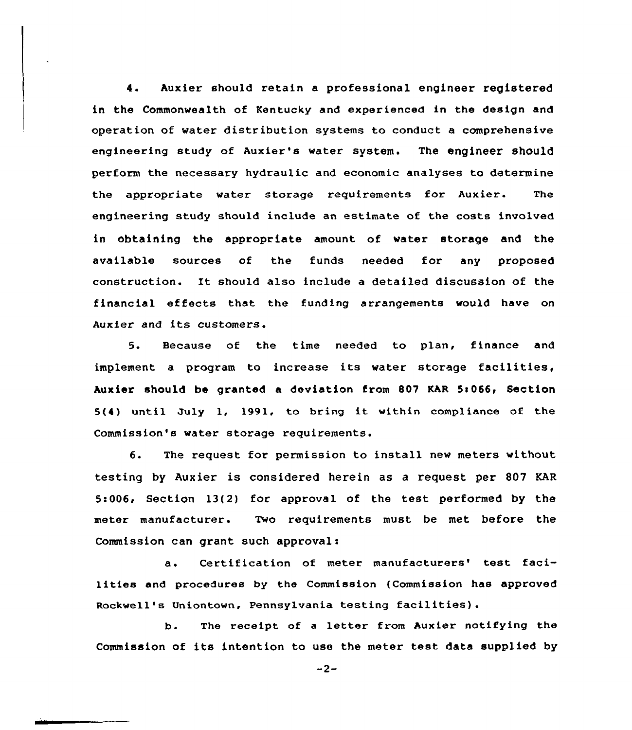4. Auxier should retain a professional engineer registered in the Commonwealth of Kentucky and experienced in the design and operation of water distribution systems to conduct a comprehensive engineering study of Auxier's water system. The engineer should perform the necessary hydraulic and economic analyses to determine the appropriate water storage requirements for Auxier. The engineering study should include an estimate of the costs involved in obtaining the appropriate amount of water storage and the available sources of the funds needed fo<mark>r a</mark>ny propose construction. Xt should also include a detailed discussion of the financial effects that the funding arrangements would have on Auxier and its customers.

5. Because of the time needed to plan, finance and implement <sup>a</sup> program to increase its water storage facilities, Auxier should be granted a deviation from 807 KAR 5:066, Section 5(4) until July 1, 1991, to bring it within compliance of the Commission's water storage requirements.

6. The request for permission to install new meters without testing by Auxier is considered herein as a request per 807 KAR 5c006, Section 13(2) for approval of the test performed by the meter manufacturer. Two requirements must be met before the Commission can grant such approval:

a. Certification of meter manufacturers' test facilities and procedures by the Commission (Commission has approved Rockwell's Uniontown, Pennsylvania testing facilities).

b. The receipt of <sup>a</sup> letter from Auxier notifying the Commission of its intention to use the meter test data supplied by

 $-2-$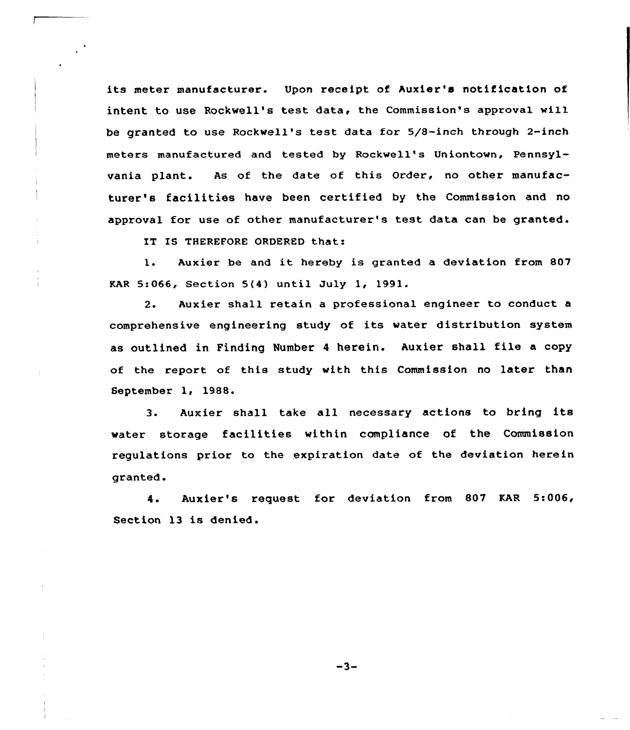its meter manufacturer. Upon receipt of huxier's notification of intent to use Rockwell's test data, the Commission's approval will be granted to use Rockwell's test data for 5/8-inch through 2-inch meters manufactured and tested by Rockwell's Uniontown, Pennsylvania plant. As of the date of this Order, no other manufacturer's facilities have been certified by the Commission and no approval for use of other manufacturer's test data can be granted.

IT IS THEREFORE ORDERED that:

1. Auxier be and it hereby is granted <sup>a</sup> deviation from <sup>807</sup> KAR 5:066, Section 5(4) until July 1, 1991.

2. Auxier shall retain a professional engineer to conduct a comprehensive engineering study of its water distribution system as outlined in Finding Number <sup>4</sup> herein. Auxier shall file <sup>a</sup> copy of the report of this study with this Commission no later than September 1, 1988.

3. Auxier shall take all necessary actions to bring its water storage facilities within compliance of the Commission regulations prior to the expiration date of the deviation herein granted.

4. Auxier's request for deviation from 807 KAR 5:006, Section 13 is denied.

 $-3-$